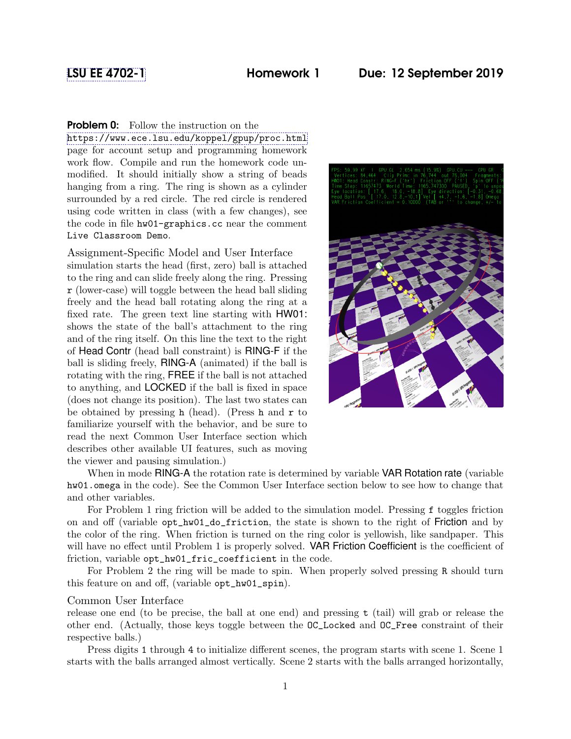# **Problem 0:** Follow the instruction on the

<https://www.ece.lsu.edu/koppel/gpup/proc.html> page for account setup and programming homework work flow. Compile and run the homework code unmodified. It should initially show a string of beads hanging from a ring. The ring is shown as a cylinder surrounded by a red circle. The red circle is rendered using code written in class (with a few changes), see the code in file hw01-graphics.cc near the comment Live Classroom Demo.

## Assignment-Specific Model and User Interface

simulation starts the head (first, zero) ball is attached to the ring and can slide freely along the ring. Pressing r (lower-case) will toggle between the head ball sliding freely and the head ball rotating along the ring at a fixed rate. The green text line starting with HW01: shows the state of the ball's attachment to the ring and of the ring itself. On this line the text to the right of Head Contr (head ball constraint) is RING-F if the ball is sliding freely, RING-A (animated) if the ball is rotating with the ring, FREE if the ball is not attached to anything, and LOCKED if the ball is fixed in space (does not change its position). The last two states can be obtained by pressing h (head). (Press h and  $\bf{r}$  to familiarize yourself with the behavior, and be sure to read the next Common User Interface section which describes other available UI features, such as moving the viewer and pausing simulation.)



When in mode RING-A the rotation rate is determined by variable VAR Rotation rate (variable hw01.omega in the code). See the Common User Interface section below to see how to change that and other variables.

For Problem 1 ring friction will be added to the simulation model. Pressing f toggles friction on and off (variable opt\_hw01\_do\_friction, the state is shown to the right of Friction and by the color of the ring. When friction is turned on the ring color is yellowish, like sandpaper. This will have no effect until Problem 1 is properly solved. **VAR Friction Coefficient** is the coefficient of friction, variable opt\_hw01\_fric\_coefficient in the code.

For Problem 2 the ring will be made to spin. When properly solved pressing R should turn this feature on and off, (variable opt\_hw01\_spin).

## Common User Interface

release one end (to be precise, the ball at one end) and pressing  $t$  (tail) will grab or release the other end. (Actually, those keys toggle between the OC\_Locked and OC\_Free constraint of their respective balls.)

Press digits 1 through 4 to initialize different scenes, the program starts with scene 1. Scene 1 starts with the balls arranged almost vertically. Scene 2 starts with the balls arranged horizontally,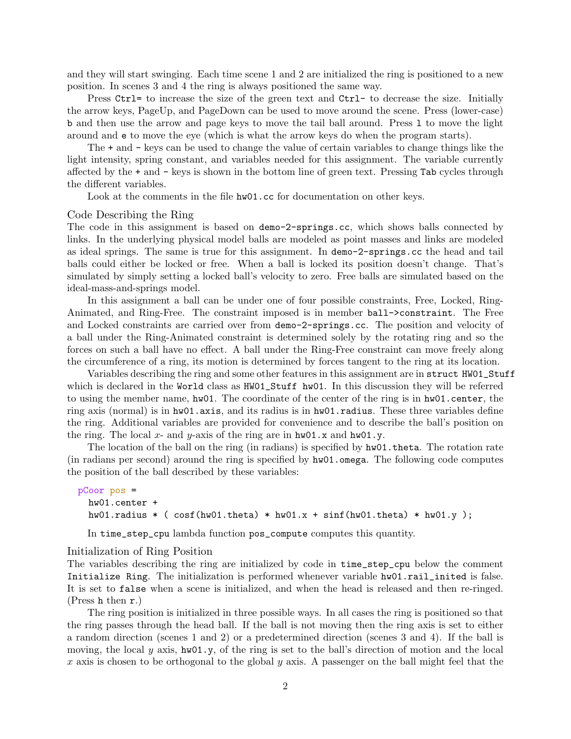and they will start swinging. Each time scene 1 and 2 are initialized the ring is positioned to a new position. In scenes 3 and 4 the ring is always positioned the same way.

Press Ctrl= to increase the size of the green text and Ctrl- to decrease the size. Initially the arrow keys, PageUp, and PageDown can be used to move around the scene. Press (lower-case) b and then use the arrow and page keys to move the tail ball around. Press l to move the light around and e to move the eye (which is what the arrow keys do when the program starts).

The + and - keys can be used to change the value of certain variables to change things like the light intensity, spring constant, and variables needed for this assignment. The variable currently affected by the + and - keys is shown in the bottom line of green text. Pressing Tab cycles through the different variables.

Look at the comments in the file hw01.cc for documentation on other keys.

#### Code Describing the Ring

The code in this assignment is based on demo-2-springs.cc, which shows balls connected by links. In the underlying physical model balls are modeled as point masses and links are modeled as ideal springs. The same is true for this assignment. In demo-2-springs.cc the head and tail balls could either be locked or free. When a ball is locked its position doesn't change. That's simulated by simply setting a locked ball's velocity to zero. Free balls are simulated based on the ideal-mass-and-springs model.

In this assignment a ball can be under one of four possible constraints, Free, Locked, Ring-Animated, and Ring-Free. The constraint imposed is in member ball->constraint. The Free and Locked constraints are carried over from demo-2-springs.cc. The position and velocity of a ball under the Ring-Animated constraint is determined solely by the rotating ring and so the forces on such a ball have no effect. A ball under the Ring-Free constraint can move freely along the circumference of a ring, its motion is determined by forces tangent to the ring at its location.

Variables describing the ring and some other features in this assignment are in struct HW01\_Stuff which is declared in the World class as  $HW01$ \_Stuff hw01. In this discussion they will be referred to using the member name, hw01. The coordinate of the center of the ring is in hw01.center, the ring axis (normal) is in  $hw01$ . axis, and its radius is in  $hw01$ . radius. These three variables define the ring. Additional variables are provided for convenience and to describe the ball's position on the ring. The local x- and y-axis of the ring are in  $hw01.x$  and  $hw01.y$ .

The location of the ball on the ring (in radians) is specified by hw01.theta. The rotation rate (in radians per second) around the ring is specified by  $h\text{w01.omega}$  The following code computes the position of the ball described by these variables:

```
pCoor pos =
 hw01.center +
 hw01.radius * (cosf(hw01.theta) * hw01.x + sinf(hw01.theta) * hw01.y);
```
In time\_step\_cpu lambda function pos\_compute computes this quantity.

#### Initialization of Ring Position

The variables describing the ring are initialized by code in time\_step\_cpu below the comment Initialize Ring. The initialization is performed whenever variable hw01.rail\_inited is false. It is set to false when a scene is initialized, and when the head is released and then re-ringed. (Press h then r.)

The ring position is initialized in three possible ways. In all cases the ring is positioned so that the ring passes through the head ball. If the ball is not moving then the ring axis is set to either a random direction (scenes 1 and 2) or a predetermined direction (scenes 3 and 4). If the ball is moving, the local y axis,  $hw01.y$ , of the ring is set to the ball's direction of motion and the local x axis is chosen to be orthogonal to the global y axis. A passenger on the ball might feel that the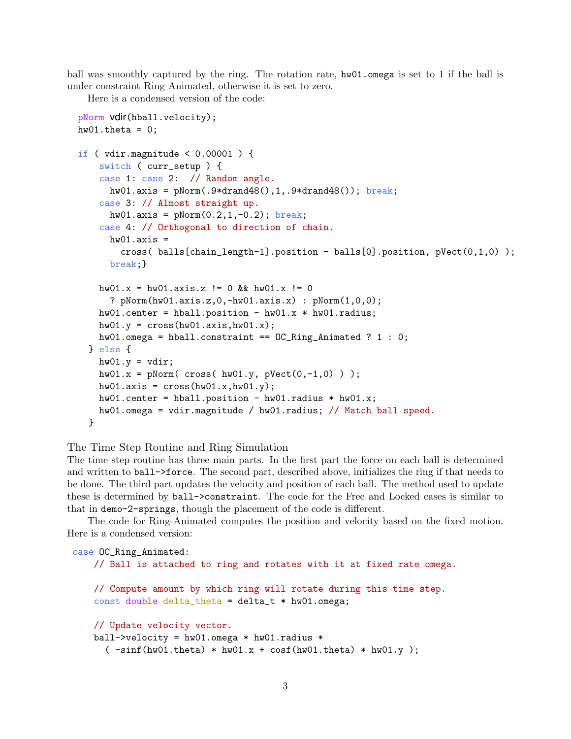ball was smoothly captured by the ring. The rotation rate, hw01.omega is set to 1 if the ball is under constraint Ring Animated, otherwise it is set to zero.

Here is a condensed version of the code:

```
pNorm vdir(hball.velocity);
hw01.theta = 0;
if ( vdir.magnitude < 0.00001 ) {
    switch ( curr_setup ) {
    case 1: case 2: // Random angle.
      hw01.axis = pNorm(.9*drand48(),1,.9*drand48()); break;case 3: // Almost straight up.
      hw01.axis = pNorm(0.2, 1, -0.2); break;
    case 4: // Orthogonal to direction of chain.
      hw01.axis =cross( balls[chain_length-1].position - balls[0].position, pVect(0,1,0) );
      break;}
    hw01.x = hw01.axis.z != 0 && hw01.x != 0? pNorm(hw01.axis.z,0,-hw01.axis.x) : pNorm(1,0,0);
    hw01.center = hball.position - hw01.x * hw01.radius;hwd1.y = cross(hw01.axis,hw01.x);hw01.omega = hball.constraint == OC_Ring_Animated ? 1 : 0;
  } else {
   hwd1.y = vdir;hw01.x = pNorm( cross( hw01.y, pVect(0, -1, 0) ));hw01.axis = cross(hw01.x,hw01.y);hw01.center = hball.position - hw01.radius * hw01.x;hw01.omega = vdir.magnitude / hw01.radius; // Match ball speed.
  }
```
The Time Step Routine and Ring Simulation

The time step routine has three main parts. In the first part the force on each ball is determined and written to ball->force. The second part, described above, initializes the ring if that needs to be done. The third part updates the velocity and position of each ball. The method used to update these is determined by ball->constraint. The code for the Free and Locked cases is similar to that in demo-2-springs, though the placement of the code is different.

The code for Ring-Animated computes the position and velocity based on the fixed motion. Here is a condensed version:

```
case OC_Ring_Animated:
    // Ball is attached to ring and rotates with it at fixed rate omega.
    // Compute amount by which ring will rotate during this time step.
    const double delta_theta = delta_t * hw01.omega;
    // Update velocity vector.
    ball->velocity = hw01.omega * hw01.radius *
       (\neg \text{sinf}(\text{hw01}.t \text{heta}) * \text{hw01}.x + \text{cosf}(\text{hw01}.t \text{heta}) * \text{hw01}.y);
```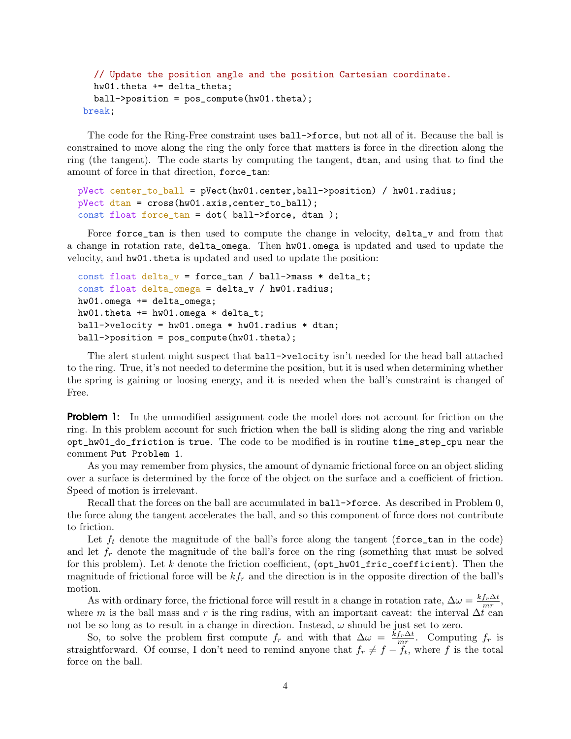```
// Update the position angle and the position Cartesian coordinate.
 hw01.theta += delta_theta;
 ball->position = pos_compute(hw01.theta);
break;
```
The code for the Ring-Free constraint uses ball->force, but not all of it. Because the ball is constrained to move along the ring the only force that matters is force in the direction along the ring (the tangent). The code starts by computing the tangent, dtan, and using that to find the amount of force in that direction, force\_tan:

```
pVect center_to_ball = pVect(hw01.center,ball->position) / hw01.radius;
pVect dtan = cross(hw01.axis,center_to_ball);
const float force_tan = dot( ball->force, dtan );
```
Force force\_tan is then used to compute the change in velocity, delta\_v and from that a change in rotation rate, delta\_omega. Then hw01.omega is updated and used to update the velocity, and hw01.theta is updated and used to update the position:

```
const float delta_v = force_tan / ball->mass * delta_t;
const float delta_omega = delta_v / hw01.radius;
hw01.omega += delta_omega;
hw01. theta += hw01. omega * delta_t;
ball->velocity = hw01.omega * hw01.radius * dtan;
ball->position = pos_compute(hw01.theta);
```
The alert student might suspect that ball->velocity isn't needed for the head ball attached to the ring. True, it's not needed to determine the position, but it is used when determining whether the spring is gaining or loosing energy, and it is needed when the ball's constraint is changed of Free.

**Problem 1:** In the unmodified assignment code the model does not account for friction on the ring. In this problem account for such friction when the ball is sliding along the ring and variable opt\_hw01\_do\_friction is true. The code to be modified is in routine time\_step\_cpu near the comment Put Problem 1.

As you may remember from physics, the amount of dynamic frictional force on an object sliding over a surface is determined by the force of the object on the surface and a coefficient of friction. Speed of motion is irrelevant.

Recall that the forces on the ball are accumulated in ball->force. As described in Problem 0, the force along the tangent accelerates the ball, and so this component of force does not contribute to friction.

Let  $f_t$  denote the magnitude of the ball's force along the tangent (force\_tan in the code) and let  $f_r$  denote the magnitude of the ball's force on the ring (something that must be solved for this problem). Let  $k$  denote the friction coefficient,  $(\texttt{opt\_hw01\_fric\_coefficient})$ . Then the magnitude of frictional force will be  $kf_r$  and the direction is in the opposite direction of the ball's motion.

As with ordinary force, the frictional force will result in a change in rotation rate,  $\Delta \omega = \frac{k f_r \Delta t}{mr}$  $\frac{f_r\Delta t}{mr},$ where m is the ball mass and r is the ring radius, with an important caveat: the interval  $\Delta t$  can not be so long as to result in a change in direction. Instead,  $\omega$  should be just set to zero.

So, to solve the problem first compute  $f_r$  and with that  $\Delta \omega = \frac{k f_r \Delta t}{mr}$  $\frac{f_r \Delta t}{mr}$ . Computing  $f_r$  is straightforward. Of course, I don't need to remind anyone that  $f_r \neq f - f_t$ , where f is the total force on the ball.